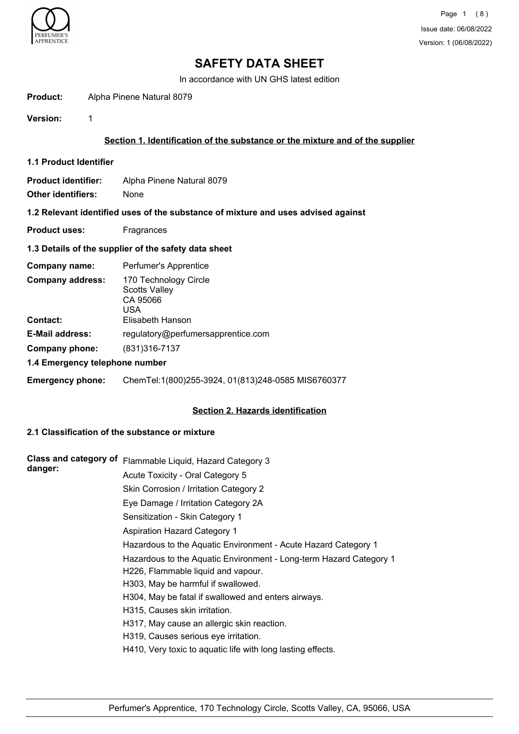

In accordance with UN GHS latest edition

**Product:** Alpha Pinene Natural 8079

**Version:** 1

# **Section 1. Identification of the substance or the mixture and of the supplier**

**1.1 Product Identifier**

**Product identifier:** Alpha Pinene Natural 8079 **Other identifiers:** None

**1.2 Relevant identified uses of the substance of mixture and uses advised against**

**Product uses:** Fragrances

### **1.3 Details of the supplier of the safety data sheet**

| Perfumer's Apprentice                                                                |  |
|--------------------------------------------------------------------------------------|--|
| 170 Technology Circle<br><b>Scotts Valley</b><br>CA 95066<br>USA<br>Elisabeth Hanson |  |
| regulatory@perfumersapprentice.com                                                   |  |
|                                                                                      |  |
| (831) 316-7137                                                                       |  |
| 1.4 Emergency telephone number                                                       |  |
|                                                                                      |  |

**Emergency phone:** ChemTel:1(800)255-3924, 01(813)248-0585 MIS6760377

## **Section 2. Hazards identification**

# **2.1 Classification of the substance or mixture**

| <b>Class and category of</b><br>danger: | Flammable Liquid, Hazard Category 3                                |
|-----------------------------------------|--------------------------------------------------------------------|
|                                         | Acute Toxicity - Oral Category 5                                   |
|                                         | Skin Corrosion / Irritation Category 2                             |
|                                         | Eye Damage / Irritation Category 2A                                |
|                                         | Sensitization - Skin Category 1                                    |
|                                         | <b>Aspiration Hazard Category 1</b>                                |
|                                         | Hazardous to the Aquatic Environment - Acute Hazard Category 1     |
|                                         | Hazardous to the Aquatic Environment - Long-term Hazard Category 1 |
|                                         | H226, Flammable liquid and vapour.                                 |
|                                         | H303, May be harmful if swallowed.                                 |
|                                         | H304, May be fatal if swallowed and enters airways.                |
|                                         | H315, Causes skin irritation.                                      |
|                                         | H317, May cause an allergic skin reaction.                         |
|                                         | H319, Causes serious eye irritation.                               |
|                                         | H410, Very toxic to aquatic life with long lasting effects.        |
|                                         |                                                                    |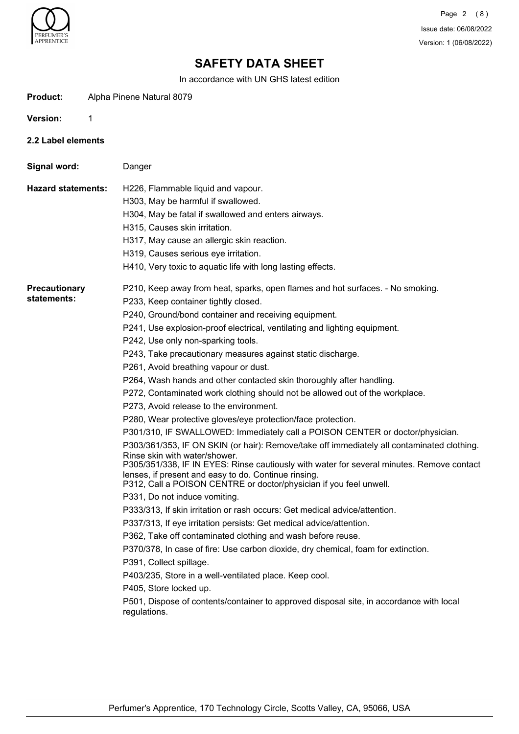

In accordance with UN GHS latest edition

| Product: | Alpha Pinene Natural 8079 |  |
|----------|---------------------------|--|
|          |                           |  |

**Version:** 1

**2.2 Label elements**

**Signal word:** Danger

**Hazard statements:** H226, Flammable liquid and vapour.

H303, May be harmful if swallowed.

- H304, May be fatal if swallowed and enters airways.
- H315, Causes skin irritation.
- H317, May cause an allergic skin reaction.
- H319, Causes serious eye irritation.
- H410, Very toxic to aquatic life with long lasting effects.

**Precautionary statements:**

P233, Keep container tightly closed.

- P240, Ground/bond container and receiving equipment.
- P241, Use explosion-proof electrical, ventilating and lighting equipment.

P210, Keep away from heat, sparks, open flames and hot surfaces. - No smoking.

- P242, Use only non-sparking tools.
- P243, Take precautionary measures against static discharge.
- P261, Avoid breathing vapour or dust.
- P264, Wash hands and other contacted skin thoroughly after handling.
- P272, Contaminated work clothing should not be allowed out of the workplace.

P273, Avoid release to the environment.

P280, Wear protective gloves/eye protection/face protection.

P301/310, IF SWALLOWED: Immediately call a POISON CENTER or doctor/physician.

P303/361/353, IF ON SKIN (or hair): Remove/take off immediately all contaminated clothing. Rinse skin with water/shower.

P305/351/338, IF IN EYES: Rinse cautiously with water for several minutes. Remove contact lenses, if present and easy to do. Continue rinsing.

P312, Call a POISON CENTRE or doctor/physician if you feel unwell.

P331, Do not induce vomiting.

P333/313, If skin irritation or rash occurs: Get medical advice/attention.

P337/313, If eye irritation persists: Get medical advice/attention.

P362, Take off contaminated clothing and wash before reuse.

P370/378, In case of fire: Use carbon dioxide, dry chemical, foam for extinction.

P391, Collect spillage.

P403/235, Store in a well-ventilated place. Keep cool.

P405, Store locked up.

P501, Dispose of contents/container to approved disposal site, in accordance with local regulations.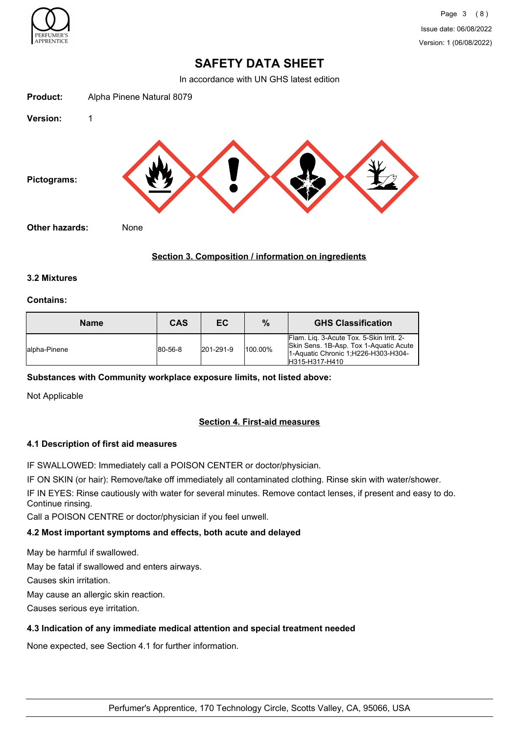

In accordance with UN GHS latest edition



# **Section 3. Composition / information on ingredients**

## **3.2 Mixtures**

### **Contains:**

| <b>Name</b>   | <b>CAS</b>      | EC.       | %       | <b>GHS Classification</b>                                                                                                                    |
|---------------|-----------------|-----------|---------|----------------------------------------------------------------------------------------------------------------------------------------------|
| lalpha-Pinene | $ 80 - 56 - 8 $ | 201-291-9 | 100.00% | Flam. Lig. 3-Acute Tox. 5-Skin Irrit. 2-<br>Skin Sens. 1B-Asp. Tox 1-Aquatic Acute<br>1-Aquatic Chronic 1; H226-H303-H304-<br>H315-H317-H410 |

## **Substances with Community workplace exposure limits, not listed above:**

Not Applicable

# **Section 4. First-aid measures**

## **4.1 Description of first aid measures**

IF SWALLOWED: Immediately call a POISON CENTER or doctor/physician.

IF ON SKIN (or hair): Remove/take off immediately all contaminated clothing. Rinse skin with water/shower.

IF IN EYES: Rinse cautiously with water for several minutes. Remove contact lenses, if present and easy to do. Continue rinsing.

Call a POISON CENTRE or doctor/physician if you feel unwell.

## **4.2 Most important symptoms and effects, both acute and delayed**

May be harmful if swallowed.

May be fatal if swallowed and enters airways.

Causes skin irritation.

May cause an allergic skin reaction.

Causes serious eye irritation.

## **4.3 Indication of any immediate medical attention and special treatment needed**

None expected, see Section 4.1 for further information.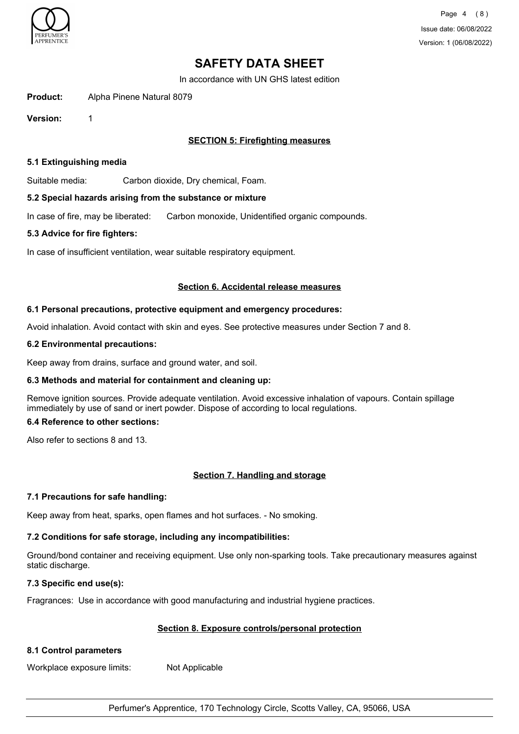

In accordance with UN GHS latest edition

**Product:** Alpha Pinene Natural 8079

**Version:** 1

# **SECTION 5: Firefighting measures**

## **5.1 Extinguishing media**

Suitable media: Carbon dioxide, Dry chemical, Foam.

## **5.2 Special hazards arising from the substance or mixture**

In case of fire, may be liberated: Carbon monoxide, Unidentified organic compounds.

# **5.3 Advice for fire fighters:**

In case of insufficient ventilation, wear suitable respiratory equipment.

## **Section 6. Accidental release measures**

# **6.1 Personal precautions, protective equipment and emergency procedures:**

Avoid inhalation. Avoid contact with skin and eyes. See protective measures under Section 7 and 8.

## **6.2 Environmental precautions:**

Keep away from drains, surface and ground water, and soil.

## **6.3 Methods and material for containment and cleaning up:**

Remove ignition sources. Provide adequate ventilation. Avoid excessive inhalation of vapours. Contain spillage immediately by use of sand or inert powder. Dispose of according to local regulations.

## **6.4 Reference to other sections:**

Also refer to sections 8 and 13.

# **Section 7. Handling and storage**

## **7.1 Precautions for safe handling:**

Keep away from heat, sparks, open flames and hot surfaces. - No smoking.

# **7.2 Conditions for safe storage, including any incompatibilities:**

Ground/bond container and receiving equipment. Use only non-sparking tools. Take precautionary measures against static discharge.

## **7.3 Specific end use(s):**

Fragrances: Use in accordance with good manufacturing and industrial hygiene practices.

# **Section 8. Exposure controls/personal protection**

# **8.1 Control parameters**

Workplace exposure limits: Not Applicable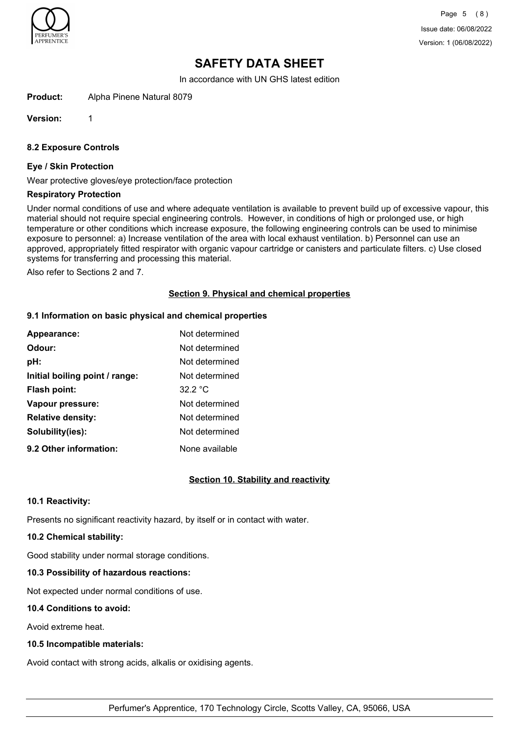

Page 5 (8) Issue date: 06/08/2022 Version: 1 (06/08/2022)

# **SAFETY DATA SHEET**

In accordance with UN GHS latest edition

**Product:** Alpha Pinene Natural 8079

**Version:** 1

## **8.2 Exposure Controls**

#### **Eye / Skin Protection**

Wear protective gloves/eye protection/face protection

#### **Respiratory Protection**

Under normal conditions of use and where adequate ventilation is available to prevent build up of excessive vapour, this material should not require special engineering controls. However, in conditions of high or prolonged use, or high temperature or other conditions which increase exposure, the following engineering controls can be used to minimise exposure to personnel: a) Increase ventilation of the area with local exhaust ventilation. b) Personnel can use an approved, appropriately fitted respirator with organic vapour cartridge or canisters and particulate filters. c) Use closed systems for transferring and processing this material.

Also refer to Sections 2 and 7.

## **Section 9. Physical and chemical properties**

#### **9.1 Information on basic physical and chemical properties**

| Appearance:                    | Not determined |
|--------------------------------|----------------|
| Odour:                         | Not determined |
| pH:                            | Not determined |
| Initial boiling point / range: | Not determined |
| <b>Flash point:</b>            | 32.2 °C        |
| Vapour pressure:               | Not determined |
| <b>Relative density:</b>       | Not determined |
| Solubility(ies):               | Not determined |
| 9.2 Other information:         | None available |

# **Section 10. Stability and reactivity**

## **10.1 Reactivity:**

Presents no significant reactivity hazard, by itself or in contact with water.

# **10.2 Chemical stability:**

Good stability under normal storage conditions.

# **10.3 Possibility of hazardous reactions:**

Not expected under normal conditions of use.

# **10.4 Conditions to avoid:**

Avoid extreme heat.

# **10.5 Incompatible materials:**

Avoid contact with strong acids, alkalis or oxidising agents.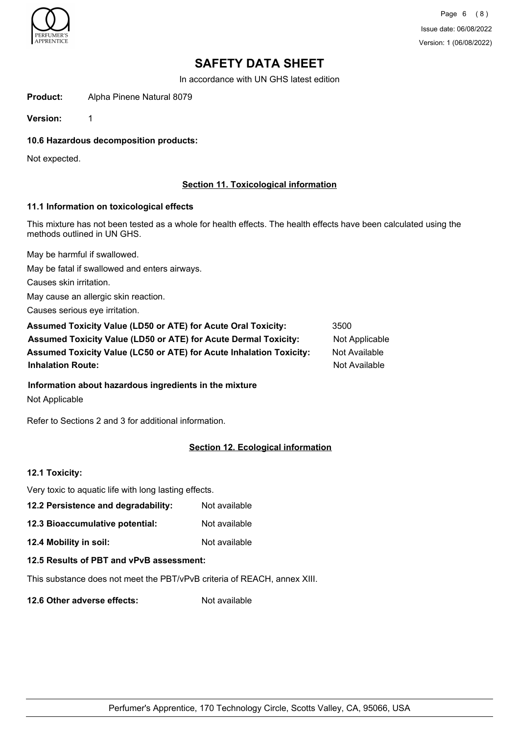

In accordance with UN GHS latest edition

**Product:** Alpha Pinene Natural 8079

**Version:** 1

**10.6 Hazardous decomposition products:**

Not expected.

# **Section 11. Toxicological information**

## **11.1 Information on toxicological effects**

This mixture has not been tested as a whole for health effects. The health effects have been calculated using the methods outlined in UN GHS.

May be harmful if swallowed.

May be fatal if swallowed and enters airways.

Causes skin irritation.

May cause an allergic skin reaction.

Causes serious eye irritation.

| Assumed Toxicity Value (LD50 or ATE) for Acute Oral Toxicity:              | 3500           |
|----------------------------------------------------------------------------|----------------|
| <b>Assumed Toxicity Value (LD50 or ATE) for Acute Dermal Toxicity:</b>     | Not Applicable |
| <b>Assumed Toxicity Value (LC50 or ATE) for Acute Inhalation Toxicity:</b> | Not Available  |
| <b>Inhalation Route:</b>                                                   | Not Available  |

## **Information about hazardous ingredients in the mixture**

Not Applicable

Refer to Sections 2 and 3 for additional information.

# **Section 12. Ecological information**

# **12.1 Toxicity:**

| Very toxic to aquatic life with long lasting effects.                    |               |  |
|--------------------------------------------------------------------------|---------------|--|
| 12.2 Persistence and degradability:                                      | Not available |  |
| 12.3 Bioaccumulative potential:                                          | Not available |  |
| 12.4 Mobility in soil:                                                   | Not available |  |
| 12.5 Results of PBT and vPvB assessment:                                 |               |  |
| This substance does not meet the PBT/vPvB criteria of REACH, annex XIII. |               |  |

**12.6 Other adverse effects:** Not available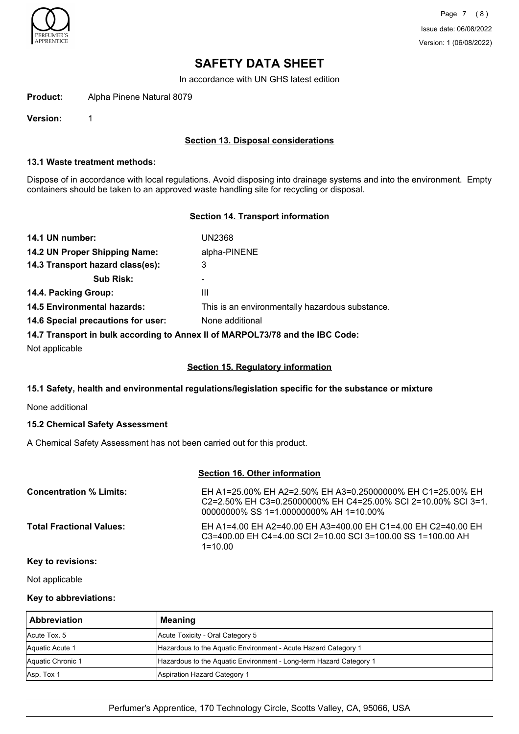

In accordance with UN GHS latest edition

**Product:** Alpha Pinene Natural 8079

**Version:** 1

## **Section 13. Disposal considerations**

### **13.1 Waste treatment methods:**

Dispose of in accordance with local regulations. Avoid disposing into drainage systems and into the environment. Empty containers should be taken to an approved waste handling site for recycling or disposal.

## **Section 14. Transport information**

| 14.1 UN number:                                                               | UN2368                                          |  |
|-------------------------------------------------------------------------------|-------------------------------------------------|--|
| 14.2 UN Proper Shipping Name:                                                 | alpha-PINENE                                    |  |
| 14.3 Transport hazard class(es):                                              | 3                                               |  |
| <b>Sub Risk:</b>                                                              |                                                 |  |
| 14.4. Packing Group:                                                          | Ш                                               |  |
| <b>14.5 Environmental hazards:</b>                                            | This is an environmentally hazardous substance. |  |
| 14.6 Special precautions for user:                                            | None additional                                 |  |
| 14.7 Transport in bulk according to Annex II of MARPOL73/78 and the IBC Code: |                                                 |  |

Not applicable

### **Section 15. Regulatory information**

## **15.1 Safety, health and environmental regulations/legislation specific for the substance or mixture**

None additional

## **15.2 Chemical Safety Assessment**

A Chemical Safety Assessment has not been carried out for this product.

# **Section 16. Other information**

| <b>Concentration % Limits:</b>  | EH A1=25.00% EH A2=2.50% EH A3=0.25000000% EH C1=25.00% EH<br>C <sub>2</sub> =2.50% EH C <sub>3</sub> =0.25000000% EH C <sub>4</sub> =25.00% SCI 2=10.00% SCI 3=1.<br>00000000% SS 1=1.00000000% AH 1=10.00% |
|---------------------------------|--------------------------------------------------------------------------------------------------------------------------------------------------------------------------------------------------------------|
| <b>Total Fractional Values:</b> | EH A1=4.00 EH A2=40.00 EH A3=400.00 EH C1=4.00 EH C2=40.00 EH<br>C3=400.00 EH C4=4.00 SCI 2=10.00 SCI 3=100.00 SS 1=100.00 AH<br>$1 = 1000$                                                                  |

### **Key to revisions:**

Not applicable

## **Key to abbreviations:**

| <b>Abbreviation</b> | Meaning                                                            |
|---------------------|--------------------------------------------------------------------|
| Acute Tox. 5        | Acute Toxicity - Oral Category 5                                   |
| Aquatic Acute 1     | Hazardous to the Aquatic Environment - Acute Hazard Category 1     |
| Aquatic Chronic 1   | Hazardous to the Aquatic Environment - Long-term Hazard Category 1 |
| Asp. Tox 1          | Aspiration Hazard Category 1                                       |